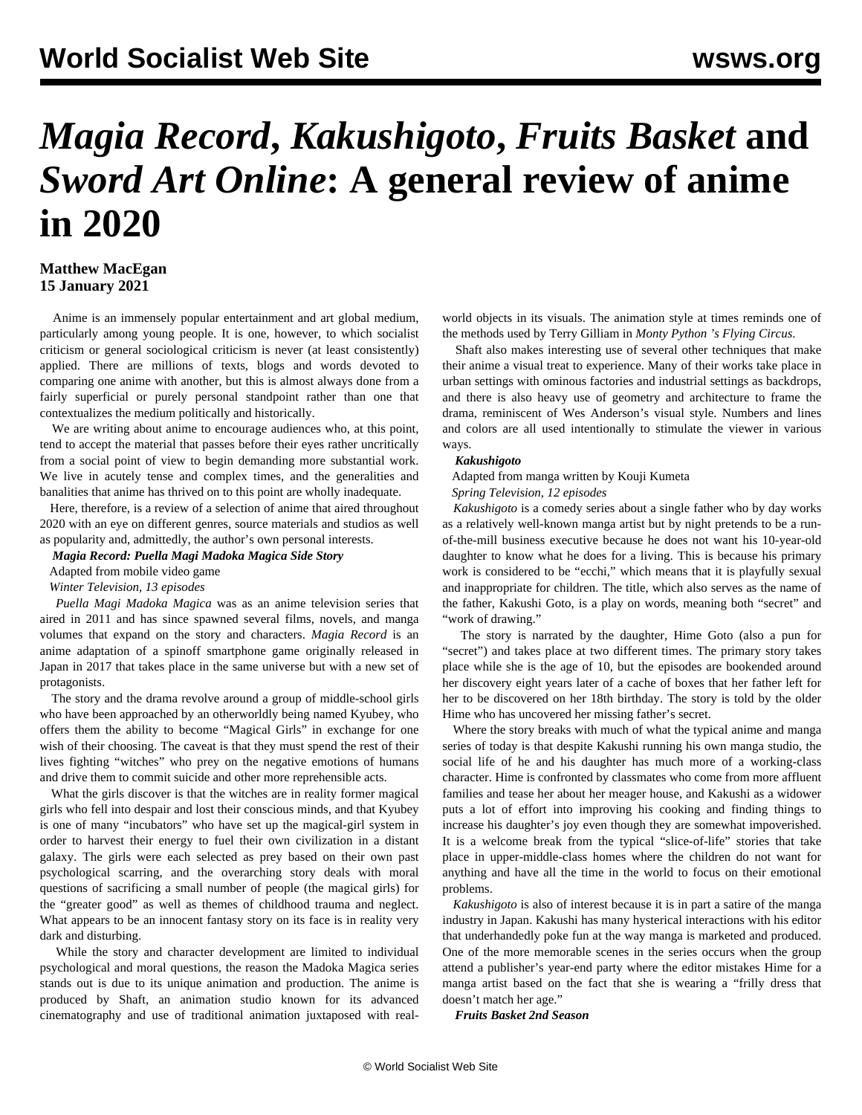# *Magia Record***,** *Kakushigoto***,** *Fruits Basket* **and**  *Sword Art Online***: A general review of anime in 2020**

## **Matthew MacEgan 15 January 2021**

 Anime is an immensely popular entertainment and art global medium, particularly among young people. It is one, however, to which socialist criticism or general sociological criticism is never (at least consistently) applied. There are millions of texts, blogs and words devoted to comparing one anime with another, but this is almost always done from a fairly superficial or purely personal standpoint rather than one that contextualizes the medium politically and historically.

 We are writing about anime to encourage audiences who, at this point, tend to accept the material that passes before their eyes rather uncritically from a social point of view to begin demanding more substantial work. We live in acutely tense and complex times, and the generalities and banalities that anime has thrived on to this point are wholly inadequate.

 Here, therefore, is a review of a selection of anime that aired throughout 2020 with an eye on different genres, source materials and studios as well as popularity and, admittedly, the author's own personal interests.

*Magia Record: Puella Magi Madoka Magica Side Story*

Adapted from mobile video game

*Winter Television, 13 episodes*

 *Puella Magi Madoka Magica* was as an anime television series that aired in 2011 and has since spawned several films, novels, and manga volumes that expand on the story and characters. *Magia Record* is an anime adaptation of a spinoff smartphone game originally released in Japan in 2017 that takes place in the same universe but with a new set of protagonists.

 The story and the drama revolve around a group of middle-school girls who have been approached by an otherworldly being named Kyubey, who offers them the ability to become "Magical Girls" in exchange for one wish of their choosing. The caveat is that they must spend the rest of their lives fighting "witches" who prey on the negative emotions of humans and drive them to commit suicide and other more reprehensible acts.

 What the girls discover is that the witches are in reality former magical girls who fell into despair and lost their conscious minds, and that Kyubey is one of many "incubators" who have set up the magical-girl system in order to harvest their energy to fuel their own civilization in a distant galaxy. The girls were each selected as prey based on their own past psychological scarring, and the overarching story deals with moral questions of sacrificing a small number of people (the magical girls) for the "greater good" as well as themes of childhood trauma and neglect. What appears to be an innocent fantasy story on its face is in reality very dark and disturbing.

 While the story and character development are limited to individual psychological and moral questions, the reason the Madoka Magica series stands out is due to its unique animation and production. The anime is produced by Shaft, an animation studio known for its advanced cinematography and use of traditional animation juxtaposed with realworld objects in its visuals. The animation style at times reminds one of the methods used by Terry Gilliam in *Monty Python 's Flying Circus*.

 Shaft also makes interesting use of several other techniques that make their anime a visual treat to experience. Many of their works take place in urban settings with ominous factories and industrial settings as backdrops, and there is also heavy use of geometry and architecture to frame the drama, reminiscent of Wes Anderson's visual style. Numbers and lines and colors are all used intentionally to stimulate the viewer in various ways.

#### *Kakushigoto*

 Adapted from manga written by Kouji Kumeta *Spring Television, 12 episodes*

 *Kakushigoto* is a comedy series about a single father who by day works as a relatively well-known manga artist but by night pretends to be a runof-the-mill business executive because he does not want his 10-year-old daughter to know what he does for a living. This is because his primary work is considered to be "ecchi," which means that it is playfully sexual and inappropriate for children. The title, which also serves as the name of the father, Kakushi Goto, is a play on words, meaning both "secret" and "work of drawing."

 The story is narrated by the daughter, Hime Goto (also a pun for "secret") and takes place at two different times. The primary story takes place while she is the age of 10, but the episodes are bookended around her discovery eight years later of a cache of boxes that her father left for her to be discovered on her 18th birthday. The story is told by the older Hime who has uncovered her missing father's secret.

 Where the story breaks with much of what the typical anime and manga series of today is that despite Kakushi running his own manga studio, the social life of he and his daughter has much more of a working-class character. Hime is confronted by classmates who come from more affluent families and tease her about her meager house, and Kakushi as a widower puts a lot of effort into improving his cooking and finding things to increase his daughter's joy even though they are somewhat impoverished. It is a welcome break from the typical "slice-of-life" stories that take place in upper-middle-class homes where the children do not want for anything and have all the time in the world to focus on their emotional problems.

 *Kakushigoto* is also of interest because it is in part a satire of the manga industry in Japan. Kakushi has many hysterical interactions with his editor that underhandedly poke fun at the way manga is marketed and produced. One of the more memorable scenes in the series occurs when the group attend a publisher's year-end party where the editor mistakes Hime for a manga artist based on the fact that she is wearing a "frilly dress that doesn't match her age."

*Fruits Basket 2nd Season*